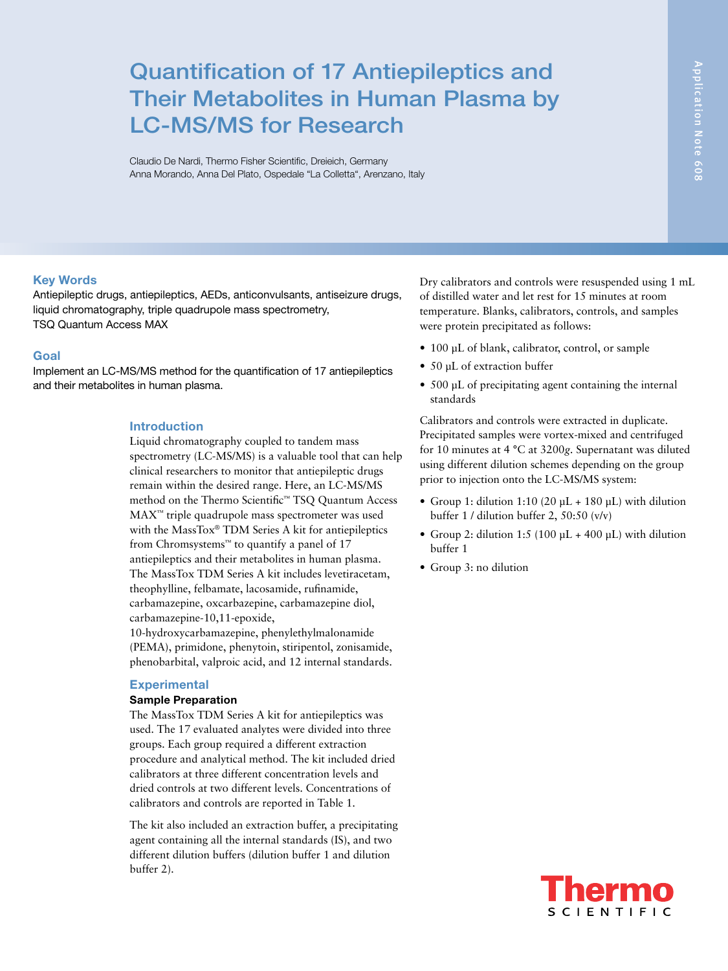# Quantification of 17 Antiepileptics and Their Metabolites in Human Plasma by LC-MS/MS for Research

Claudio De Nardi, Thermo Fisher Scientific, Dreieich, Germany Anna Morando, Anna Del Plato, Ospedale "La Colletta", Arenzano, Italy

#### Key Words

Antiepileptic drugs, antiepileptics, AEDs, anticonvulsants, antiseizure drugs, liquid chromatography, triple quadrupole mass spectrometry, TSQ Quantum Access MAX

#### Goal

Implement an LC-MS/MS method for the quantification of 17 antiepileptics and their metabolites in human plasma.

#### Introduction

Liquid chromatography coupled to tandem mass spectrometry (LC-MS/MS) is a valuable tool that can help clinical researchers to monitor that antiepileptic drugs remain within the desired range. Here, an LC-MS/MS method on the Thermo Scientific™ TSQ Quantum Access MAX™ triple quadrupole mass spectrometer was used with the MassTox® TDM Series A kit for antiepileptics from Chromsystems™ to quantify a panel of 17 antiepileptics and their metabolites in human plasma. The MassTox TDM Series A kit includes levetiracetam, theophylline, felbamate, lacosamide, rufinamide, carbamazepine, oxcarbazepine, carbamazepine diol, carbamazepine-10,11-epoxide,

10-hydroxycarbamazepine, phenylethylmalonamide (PEMA), primidone, phenytoin, stiripentol, zonisamide, phenobarbital, valproic acid, and 12 internal standards.

#### **Experimental**

## Sample Preparation

The MassTox TDM Series A kit for antiepileptics was used. The 17 evaluated analytes were divided into three groups. Each group required a different extraction procedure and analytical method. The kit included dried calibrators at three different concentration levels and dried controls at two different levels. Concentrations of calibrators and controls are reported in Table 1.

The kit also included an extraction buffer, a precipitating agent containing all the internal standards (IS), and two different dilution buffers (dilution buffer 1 and dilution buffer 2).

Dry calibrators and controls were resuspended using 1 mL of distilled water and let rest for 15 minutes at room temperature. Blanks, calibrators, controls, and samples were protein precipitated as follows:

- 100 µL of blank, calibrator, control, or sample
- 50 µL of extraction buffer
- 500 µL of precipitating agent containing the internal standards

Calibrators and controls were extracted in duplicate. Precipitated samples were vortex-mixed and centrifuged for 10 minutes at 4 °C at 3200*g*. Supernatant was diluted using different dilution schemes depending on the group prior to injection onto the LC-MS/MS system:

- Group 1: dilution 1:10 (20  $\mu$ L + 180  $\mu$ L) with dilution buffer 1 / dilution buffer 2, 50:50 (v/v)
- Group 2: dilution 1:5 (100  $\mu$ L + 400  $\mu$ L) with dilution buffer 1
- Group 3: no dilution

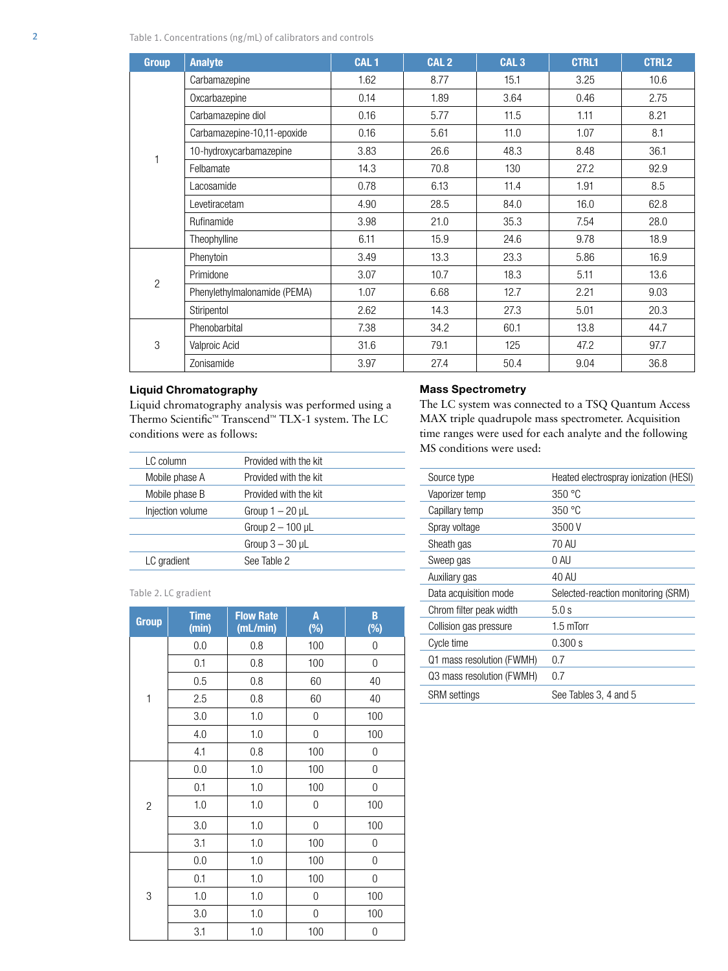| <b>Group</b>   | <b>Analyte</b>               | CAL <sub>1</sub> | CAL <sub>2</sub> | CAL <sub>3</sub> | <b>CTRL1</b> | <b>CTRL2</b> |
|----------------|------------------------------|------------------|------------------|------------------|--------------|--------------|
|                | Carbamazepine                | 1.62             | 8.77             | 15.1             | 3.25         | 10.6         |
|                | Oxcarbazepine                | 0.14             | 1.89             | 3.64             | 0.46         | 2.75         |
|                | Carbamazepine diol           | 0.16             | 5.77             | 11.5             | 1.11         | 8.21         |
|                | Carbamazepine-10,11-epoxide  | 0.16             | 5.61             | 11.0             | 1.07         | 8.1          |
|                | 10-hydroxycarbamazepine      | 3.83             | 26.6             | 48.3             | 8.48         | 36.1         |
|                | Felbamate                    | 14.3             | 70.8             | 130              | 27.2         | 92.9         |
|                | Lacosamide                   | 0.78             | 6.13             | 11.4             | 1.91         | 8.5          |
|                | Levetiracetam                | 4.90             | 28.5             | 84.0             | 16.0         | 62.8         |
|                | Rufinamide                   | 3.98             | 21.0             | 35.3             | 7.54         | 28.0         |
|                | Theophylline                 | 6.11             | 15.9             | 24.6             | 9.78         | 18.9         |
|                | Phenytoin                    | 3.49             | 13.3             | 23.3             | 5.86         | 16.9         |
| $\overline{2}$ | Primidone                    | 3.07             | 10.7             | 18.3             | 5.11         | 13.6         |
|                | Phenylethylmalonamide (PEMA) | 1.07             | 6.68             | 12.7             | 2.21         | 9.03         |
|                | Stiripentol                  | 2.62             | 14.3             | 27.3             | 5.01         | 20.3         |
|                | Phenobarbital                | 7.38             | 34.2             | 60.1             | 13.8         | 44.7         |
| 3              | Valproic Acid                | 31.6             | 79.1             | 125              | 47.2         | 97.7         |
|                | Zonisamide                   | 3.97             | 27.4             | 50.4             | 9.04         | 36.8         |

#### Liquid Chromatography

Liquid chromatography analysis was performed using a Thermo Scientific™ Transcend™ TLX-1 system. The LC conditions were as follows:

|  | <b>Mass Spectrometry</b> |  |
|--|--------------------------|--|
|--|--------------------------|--|

The LC system was connected to a TSQ Quantum Access MAX triple quadrupole mass spectrometer. Acquisition time ranges were used for each analyte and the following MS conditions were used:

| LC column        | Provided with the kit |
|------------------|-----------------------|
| Mobile phase A   | Provided with the kit |
| Mobile phase B   | Provided with the kit |
| Injection volume | Group $1 - 20$ µL     |
|                  | Group $2-100$ µL      |
|                  | Group $3 - 30$ µL     |
| LC gradient      | See Table 2           |
|                  |                       |

Table 2. LC gradient

| <b>Group</b>   | <b>Time</b><br>(min) | <b>Flow Rate</b><br>(mL/min) | A<br>$(\%)$ | B<br>$(\%)$      |
|----------------|----------------------|------------------------------|-------------|------------------|
|                | 0.0                  | 0.8                          | 100         | $\overline{0}$   |
|                | 0.1                  | 0.8                          | 100         | 0                |
|                | 0.5                  | 0.8                          | 60          | 40               |
| $\mathbf{1}$   | 2.5                  | 0.8                          | 60          | 40               |
|                | 3.0                  | 1.0                          | 0           | 100              |
|                | 4.0                  | 1.0                          | 0           | 100              |
|                | 4.1                  | 0.8                          | 100         | 0                |
|                | 0.0                  | 1.0                          | 100         | 0                |
|                | 0.1                  | 1.0                          | 100         | 0                |
| $\overline{2}$ | 1.0                  | 1.0                          | 0           | 100              |
|                | 3.0                  | 1.0                          | 0           | 100              |
|                | 3.1                  | 1.0                          | 100         | 0                |
|                | 0.0                  | 1.0                          | 100         | 0                |
|                | 0.1                  | 1.0                          | 100         | 0                |
| 3              | 1.0                  | 1.0                          | 0           | 100              |
|                | 3.0                  | 1.0                          | 0           | 100              |
|                | 3.1                  | 1.0                          | 100         | $\boldsymbol{0}$ |

| Source type               | Heated electrospray ionization (HESI) |
|---------------------------|---------------------------------------|
| Vaporizer temp            | 350 °C                                |
| Capillary temp            | 350 °C                                |
| Spray voltage             | 3500 V                                |
| Sheath gas                | 70 AU                                 |
| Sweep gas                 | 0 AU                                  |
| Auxiliary gas             | 40 AU                                 |
| Data acquisition mode     | Selected-reaction monitoring (SRM)    |
| Chrom filter peak width   | 5.0 s                                 |
| Collision gas pressure    | $1.5 \text{ mTorr}$                   |
| Cycle time                | 0.300 s                               |
| Q1 mass resolution (FWMH) | 0.7                                   |
| Q3 mass resolution (FWMH) | 0.7                                   |
| <b>SRM</b> settings       | See Tables 3, 4 and 5                 |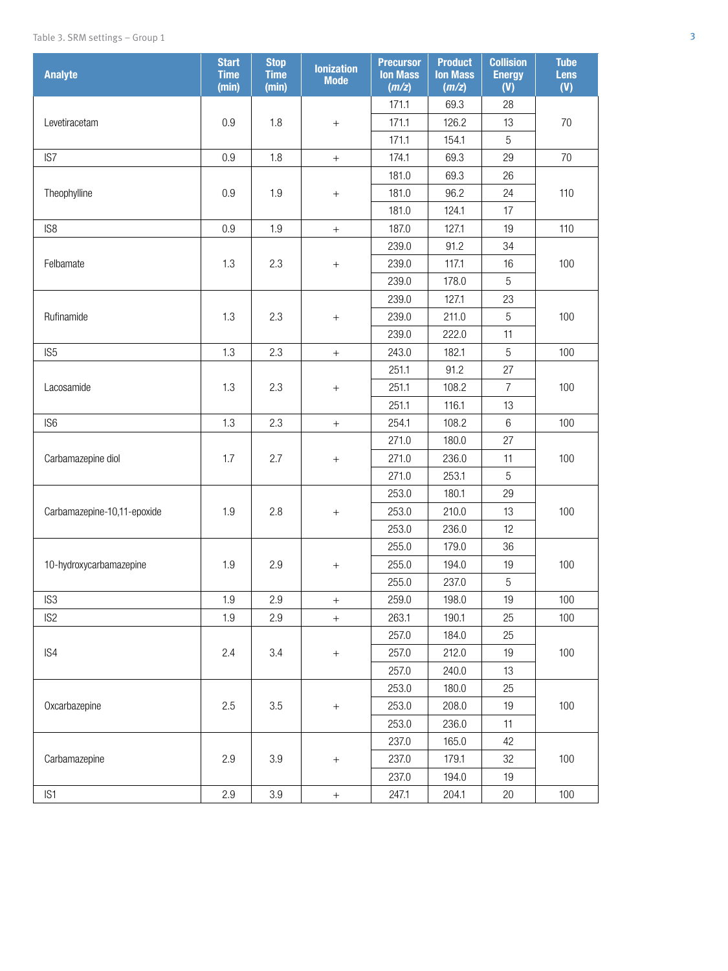| <b>Analyte</b>              | <b>Start</b><br><b>Time</b><br>(min) | <b>Stop</b><br><b>Time</b><br>(min) | <b>lonization</b><br><b>Mode</b> | <b>Precursor</b><br><b>Ion Mass</b><br>(m/z) | <b>Product</b><br><b>Ion Mass</b><br>(m/z) | <b>Collision</b><br><b>Energy</b><br>(V) | <b>Tube</b><br><b>Lens</b><br>(V) |
|-----------------------------|--------------------------------------|-------------------------------------|----------------------------------|----------------------------------------------|--------------------------------------------|------------------------------------------|-----------------------------------|
|                             |                                      |                                     |                                  | 171.1                                        | 69.3                                       | 28                                       |                                   |
| Levetiracetam               | 0.9                                  | 1.8                                 | $+$                              | 171.1                                        | 126.2                                      | 13                                       | 70                                |
|                             |                                      |                                     |                                  | 171.1                                        | 154.1                                      | 5                                        |                                   |
| IS7                         | 0.9                                  | 1.8                                 | $^{+}$                           | 174.1                                        | 69.3                                       | 29                                       | 70                                |
|                             |                                      |                                     |                                  | 181.0                                        | 69.3                                       | 26                                       |                                   |
| Theophylline                | $0.9\,$                              | 1.9                                 | $^{\mathrm{+}}$                  | 181.0                                        | 96.2                                       | 24                                       | 110                               |
|                             |                                      |                                     |                                  | 181.0                                        | 124.1                                      | 17                                       |                                   |
| IS <sub>8</sub>             | 0.9                                  | 1.9                                 | $\qquad \qquad +$                | 187.0                                        | 127.1                                      | 19                                       | 110                               |
|                             |                                      |                                     |                                  | 239.0                                        | 91.2                                       | 34                                       |                                   |
| Felbamate                   | 1.3                                  | 2.3                                 | $+$                              | 239.0                                        | 117.1                                      | 16                                       | 100                               |
|                             |                                      |                                     |                                  | 239.0                                        | 178.0                                      | 5                                        |                                   |
|                             |                                      |                                     |                                  | 239.0                                        | 127.1                                      | 23                                       |                                   |
| Rufinamide                  | 1.3                                  | 2.3                                 | $+$                              | 239.0                                        | 211.0                                      | 5                                        | 100                               |
|                             |                                      |                                     |                                  | 239.0                                        | 222.0                                      | 11                                       |                                   |
| IS <sub>5</sub>             | 1.3                                  | 2.3                                 | $\boldsymbol{+}$                 | 243.0                                        | 182.1                                      | 5                                        | 100                               |
|                             |                                      |                                     |                                  | 251.1                                        | 91.2                                       | 27                                       |                                   |
| Lacosamide                  | 1.3                                  | 2.3                                 | $^{\mathrm{+}}$                  | 251.1                                        | 108.2                                      | $\overline{7}$                           | 100                               |
|                             |                                      |                                     |                                  | 251.1                                        | 116.1                                      | 13                                       |                                   |
| IS <sub>6</sub>             | 1.3                                  | 2.3                                 | $^+$                             | 254.1                                        | 108.2                                      | $6\,$                                    | 100                               |
|                             |                                      |                                     |                                  | 271.0                                        | 180.0                                      | 27                                       |                                   |
| Carbamazepine diol          | 1.7                                  | 2.7                                 | $+$                              | 271.0                                        | 236.0                                      | 11                                       | 100                               |
|                             |                                      |                                     |                                  | 271.0                                        | 253.1                                      | $\sqrt{5}$                               |                                   |
|                             |                                      |                                     |                                  | 253.0                                        | 180.1                                      | 29                                       |                                   |
| Carbamazepine-10,11-epoxide | 1.9                                  | 2.8                                 | $^{+}$                           | 253.0                                        | 210.0                                      | 13                                       | 100                               |
|                             |                                      |                                     |                                  | 253.0                                        | 236.0                                      | 12                                       |                                   |
|                             |                                      |                                     |                                  | 255.0                                        | 179.0                                      | 36                                       |                                   |
| 10-hydroxycarbamazepine     | 1.9                                  | 2.9                                 | $\qquad \qquad +$                | 255.0                                        | 194.0                                      | 19                                       | 100                               |
|                             |                                      |                                     |                                  | 255.0                                        | 237.0                                      | $\sqrt{5}$                               |                                   |
| IS <sub>3</sub>             | 1.9                                  | 2.9                                 | $^{+}$                           | 259.0                                        | 198.0                                      | 19                                       | 100                               |
| IS <sub>2</sub>             | 1.9                                  | 2.9                                 | $^{+}$                           | 263.1                                        | 190.1                                      | 25                                       | 100                               |
|                             |                                      |                                     |                                  | 257.0                                        | 184.0                                      | 25                                       |                                   |
| IS4                         | 2.4                                  | 3.4                                 |                                  | 257.0                                        | 212.0                                      | 19                                       | 100                               |
|                             |                                      |                                     |                                  | 257.0                                        | 240.0                                      | 13                                       |                                   |
|                             |                                      |                                     |                                  | 253.0                                        | 180.0                                      | 25                                       |                                   |
| Oxcarbazepine               | 2.5                                  | 3.5                                 | $\qquad \qquad +$                | 253.0                                        | 208.0                                      | 19                                       | 100                               |
|                             |                                      |                                     |                                  | 253.0                                        | 236.0                                      | 11                                       |                                   |
|                             |                                      |                                     |                                  | 237.0                                        | 165.0                                      | 42                                       |                                   |
| Carbamazepine               | 2.9                                  | $3.9\,$                             | $^{\mathrm{+}}$                  | 237.0                                        | 179.1                                      | 32                                       | 100                               |
|                             |                                      |                                     |                                  | 237.0                                        | 194.0                                      | 19                                       |                                   |
| IS1                         | 2.9                                  | 3.9                                 | $\boldsymbol{+}$                 | 247.1                                        | 204.1                                      | $20\,$                                   | 100                               |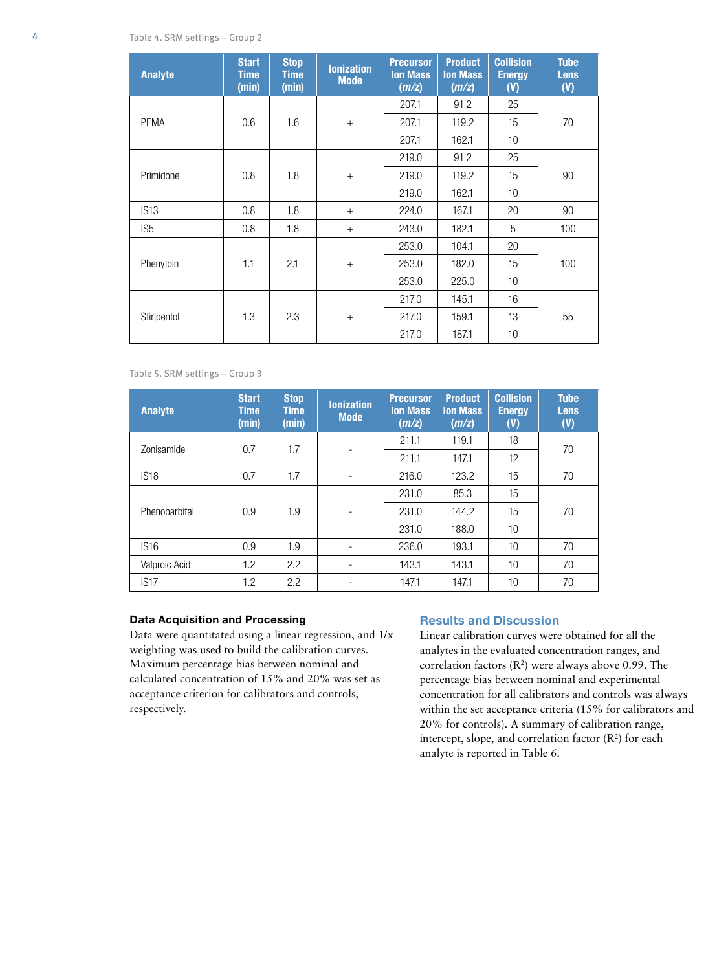| <b>Analyte</b>  | <b>Start</b><br>Time<br>(min) | <b>Stop</b><br><b>Time</b><br>(min) | <b>lonization</b><br><b>Mode</b> | <b>Precursor</b><br><b>Ion Mass</b><br>(m/z) | <b>Product</b><br><b>Ion Mass</b><br>(m/z) | <b>Collision</b><br><b>Energy</b><br>(V) | <b>Tube</b><br><b>Lens</b><br>(V) |
|-----------------|-------------------------------|-------------------------------------|----------------------------------|----------------------------------------------|--------------------------------------------|------------------------------------------|-----------------------------------|
|                 |                               |                                     |                                  | 207.1                                        | 91.2                                       | 25                                       |                                   |
| <b>PEMA</b>     | 0.6                           | 1.6                                 | $+$                              | 207.1                                        | 119.2                                      | 15                                       | 70                                |
|                 |                               |                                     |                                  | 207.1                                        | 162.1                                      | 10                                       |                                   |
|                 |                               |                                     |                                  | 219.0                                        | 91.2                                       | 25                                       |                                   |
| Primidone       | 0.8                           | 1.8                                 | $+$                              | 219.0                                        | 119.2                                      | 15                                       | 90                                |
|                 |                               |                                     |                                  | 219.0                                        | 162.1                                      | 10                                       |                                   |
| IS13            | 0.8                           | 1.8                                 | $+$                              | 224.0                                        | 167.1                                      | 20                                       | 90                                |
| IS <sub>5</sub> | 0.8                           | 1.8                                 | $+$                              | 243.0                                        | 182.1                                      | 5                                        | 100                               |
|                 |                               |                                     |                                  | 253.0                                        | 104.1                                      | 20                                       |                                   |
| Phenytoin       | 1.1                           | 2.1                                 | $+$                              | 253.0                                        | 182.0                                      | 15                                       | 100                               |
|                 |                               |                                     |                                  | 253.0                                        | 225.0                                      | 10                                       |                                   |
|                 |                               |                                     |                                  | 217.0                                        | 145.1                                      | 16                                       |                                   |
| Stiripentol     | 1.3                           | 2.3                                 | $+$                              | 217.0                                        | 159.1                                      | 13                                       | 55                                |
|                 |                               |                                     |                                  | 217.0                                        | 187.1                                      | 10                                       |                                   |

Table 5. SRM settings – Group 3

| <b>Analyte</b> | <b>Start</b><br><b>Time</b><br>(min) | <b>Stop</b><br><b>Time</b><br>(min) | <b>lonization</b><br><b>Mode</b> | <b>Precursor</b><br><b>Ion Mass</b><br>(m/z) | <b>Product</b><br><b>Ion Mass</b><br>(m/z) | <b>Collision</b><br><b>Energy</b><br>(V) | <b>Tube</b><br><b>Lens</b><br>(V) |
|----------------|--------------------------------------|-------------------------------------|----------------------------------|----------------------------------------------|--------------------------------------------|------------------------------------------|-----------------------------------|
| Zonisamide     | 0.7                                  | 1.7                                 |                                  | 211.1                                        | 119.1                                      | 18                                       | 70                                |
|                |                                      |                                     |                                  | 211.1                                        | 147.1                                      | 12                                       |                                   |
| <b>IS18</b>    | 0.7                                  | 1.7                                 | ۰                                | 216.0                                        | 123.2                                      | 15                                       | 70                                |
|                | 0.9                                  | 1.9                                 | ۰                                | 231.0                                        | 85.3                                       | 15                                       | 70                                |
| Phenobarbital  |                                      |                                     |                                  | 231.0                                        | 144.2                                      | 15                                       |                                   |
|                |                                      |                                     |                                  | 231.0                                        | 188.0                                      | 10                                       |                                   |
| <b>IS16</b>    | 0.9                                  | 1.9                                 |                                  | 236.0                                        | 193.1                                      | 10 <sup>1</sup>                          | 70                                |
| Valproic Acid  | 1.2                                  | 2.2                                 |                                  | 143.1                                        | 143.1                                      | 10                                       | 70                                |
| IS17           | 1.2                                  | 2.2                                 |                                  | 147.1                                        | 147.1                                      | 10                                       | 70                                |

#### Data Acquisition and Processing

Data were quantitated using a linear regression, and 1/x weighting was used to build the calibration curves. Maximum percentage bias between nominal and calculated concentration of 15% and 20% was set as acceptance criterion for calibrators and controls, respectively.

### Results and Discussion

Linear calibration curves were obtained for all the analytes in the evaluated concentration ranges, and correlation factors  $(R^2)$  were always above 0.99. The percentage bias between nominal and experimental concentration for all calibrators and controls was always within the set acceptance criteria (15% for calibrators and 20% for controls). A summary of calibration range, intercept, slope, and correlation factor  $(R^2)$  for each analyte is reported in Table 6.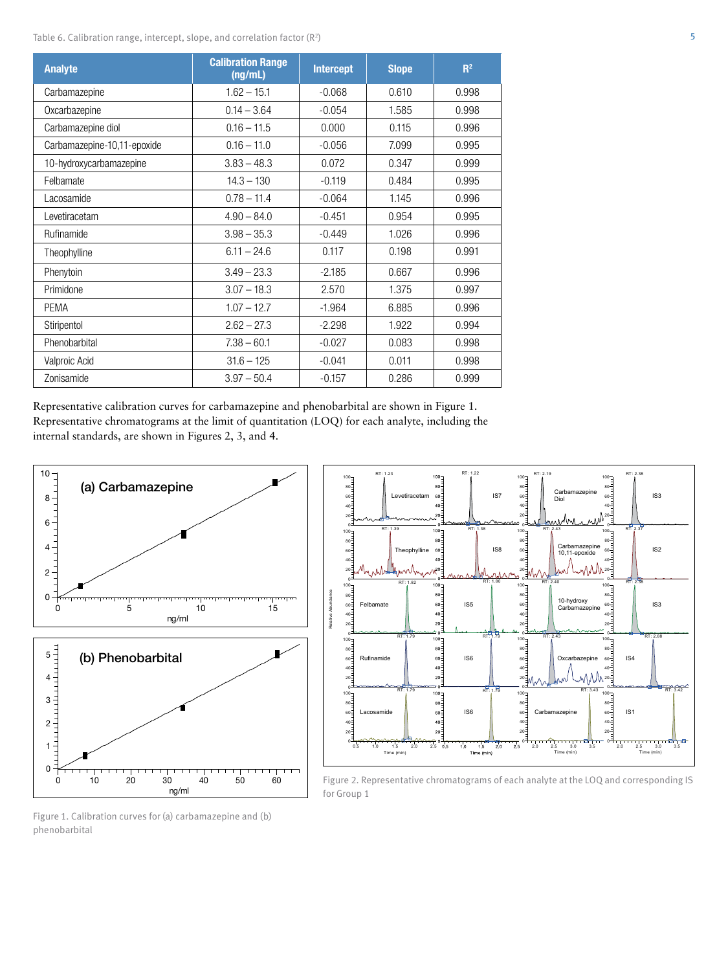Table 6. Calibration range, intercept, slope, and correlation factor  $(\mathbb{R}^2)$ 

| <b>Analyte</b>              | <b>Calibration Range</b><br>(ng/mL) | <b>Intercept</b> | <b>Slope</b> | R <sup>2</sup> |
|-----------------------------|-------------------------------------|------------------|--------------|----------------|
| Carbamazepine               | $1.62 - 15.1$                       | $-0.068$         | 0.610        | 0.998          |
| Oxcarbazepine               | $0.14 - 3.64$                       | $-0.054$         | 1.585        | 0.998          |
| Carbamazepine diol          | $0.16 - 11.5$                       | 0.000            | 0.115        | 0.996          |
| Carbamazepine-10,11-epoxide | $0.16 - 11.0$                       | $-0.056$         | 7.099        | 0.995          |
| 10-hydroxycarbamazepine     | $3.83 - 48.3$                       | 0.072            | 0.347        | 0.999          |
| Felbamate                   | $14.3 - 130$                        | $-0.119$         | 0.484        | 0.995          |
| Lacosamide                  | $0.78 - 11.4$                       | $-0.064$         | 1.145        | 0.996          |
| Levetiracetam               | $4.90 - 84.0$                       | $-0.451$         | 0.954        | 0.995          |
| Rufinamide                  | $3.98 - 35.3$                       | $-0.449$         | 1.026        | 0.996          |
| Theophylline                | $6.11 - 24.6$                       | 0.117            | 0.198        | 0.991          |
| Phenytoin                   | $3.49 - 23.3$                       | $-2.185$         | 0.667        | 0.996          |
| Primidone                   | $3.07 - 18.3$                       | 2.570            | 1.375        | 0.997          |
| PEMA                        | $1.07 - 12.7$                       | $-1.964$         | 6.885        | 0.996          |
| Stiripentol                 | $2.62 - 27.3$                       | $-2.298$         | 1.922        | 0.994          |
| Phenobarbital               | $7.38 - 60.1$                       | $-0.027$         | 0.083        | 0.998          |
| Valproic Acid               | $31.6 - 125$                        | $-0.041$         | 0.011        | 0.998          |
| Zonisamide                  | $3.97 - 50.4$                       | $-0.157$         | 0.286        | 0.999          |

Representative calibration curves for carbamazepine and phenobarbital are shown in Figure 1. Representative chromatograms at the limit of quantitation (LOQ) for each analyte, including the internal standards, are shown in Figures 2, 3, and 4.





Figure 2. Representative chromatograms of each analyte at the LOQ and corresponding IS for Group 1

Figure 1. Calibration curves for (a) carbamazepine and (b) phenobarbital